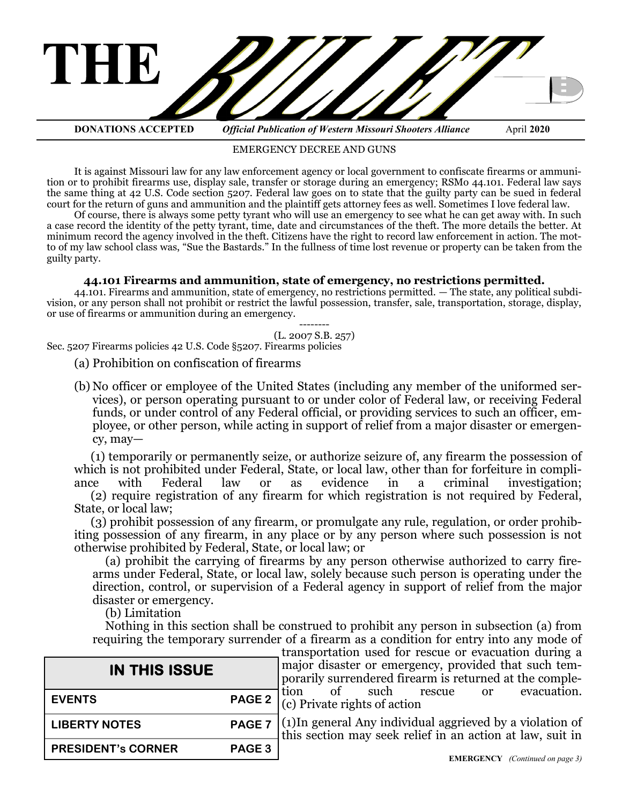

EMERGENCY DECREE AND GUNS

It is against Missouri law for any law enforcement agency or local government to confiscate firearms or ammunition or to prohibit firearms use, display sale, transfer or storage during an emergency; RSMo 44.101. Federal law says the same thing at 42 U.S. Code section 5207. Federal law goes on to state that the guilty party can be sued in federal court for the return of guns and ammunition and the plaintiff gets attorney fees as well. Sometimes I love federal law.

Of course, there is always some petty tyrant who will use an emergency to see what he can get away with. In such a case record the identity of the petty tyrant, time, date and circumstances of the theft. The more details the better. At minimum record the agency involved in the theft. Citizens have the right to record law enforcement in action. The motto of my law school class was, "Sue the Bastards." In the fullness of time lost revenue or property can be taken from the guilty party.

### **44.101 Firearms and ammunition, state of emergency, no restrictions permitted.**

44.101. Firearms and ammunition, state of emergency, no restrictions permitted. — The state, any political subdivision, or any person shall not prohibit or restrict the lawful possession, transfer, sale, transportation, storage, display, or use of firearms or ammunition during an emergency.

-------- (L. 2007 S.B. 257)

Sec. 5207 Firearms policies 42 U.S. Code §5207. Firearms policies

- (a) Prohibition on confiscation of firearms
- (b) No officer or employee of the United States (including any member of the uniformed services), or person operating pursuant to or under color of Federal law, or receiving Federal funds, or under control of any Federal official, or providing services to such an officer, employee, or other person, while acting in support of relief from a major disaster or emergency, may—

(1) temporarily or permanently seize, or authorize seizure of, any firearm the possession of which is not prohibited under Federal, State, or local law, other than for forfeiture in compliance with Federal law or as evidence in a criminal investigation: ance with Federal law or as evidence in a criminal investigation;

(2) require registration of any firearm for which registration is not required by Federal, State, or local law;

(3) prohibit possession of any firearm, or promulgate any rule, regulation, or order prohibiting possession of any firearm, in any place or by any person where such possession is not otherwise prohibited by Federal, State, or local law; or

(a) prohibit the carrying of firearms by any person otherwise authorized to carry firearms under Federal, State, or local law, solely because such person is operating under the direction, control, or supervision of a Federal agency in support of relief from the major disaster or emergency.

(b) Limitation

Nothing in this section shall be construed to prohibit any person in subsection (a) from requiring the temporary surrender of a firearm as a condition for entry into any mode of

| <b>IN THIS ISSUE</b>      |               |
|---------------------------|---------------|
| <b>EVENTS</b>             | <b>PAGE 2</b> |
| <b>LIBERTY NOTES</b>      | <b>PAGE 7</b> |
| <b>PRESIDENT's CORNER</b> | <b>PAGE 3</b> |

transportation used for rescue or evacuation during a major disaster or emergency, provided that such temporarily surrendered firearm is returned at the comple-<br>tion of such rescue or evacuation. tion of such rescue or evacuation. (c) Private rights of action

(1)In general Any individual aggrieved by a violation of this section may seek relief in an action at law, suit in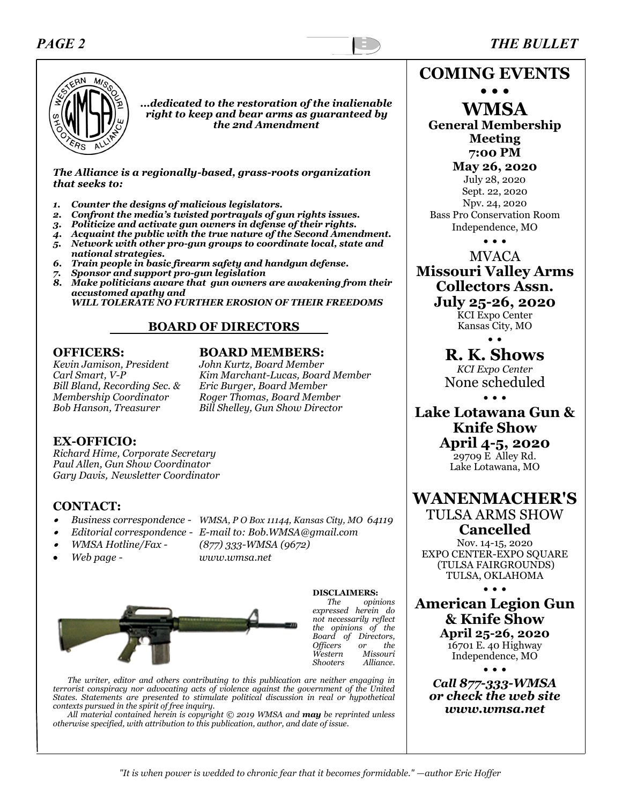### *PAGE 2 THE BULLET*



*...dedicated to the restoration of the inalienable right to keep and bear arms as guaranteed by the 2nd Amendment*

*The Alliance is a regionally-based, grass-roots organization that seeks to:*

- *1. Counter the designs of malicious legislators.*
- *2. Confront the media's twisted portrayals of gun rights issues.*
- *3. Politicize and activate gun owners in defense of their rights.*
- *4. Acquaint the public with the true nature of the Second Amendment.*
- *5. Network with other pro-gun groups to coordinate local, state and national strategies.*
- *6. Train people in basic firearm safety and handgun defense.*
- *7. Sponsor and support pro-gun legislation*
- *8. Make politicians aware that gun owners are awakening from their accustomed apathy and*

 *WILL TOLERATE NO FURTHER EROSION OF THEIR FREEDOMS*

### **BOARD OF DIRECTORS**

*Kevin Jamison, President John Kurtz, Board Member Bill Bland, Recording Sec. &*<br>*Membership Coordinator* 

### **OFFICERS: BOARD MEMBERS:**

*Carl Smart, V-P Kim Marchant-Lucas, Board Member Membership Coordinator Roger Thomas, Board Member Bob Hanson, Treasurer Bill Shelley, Gun Show Director* 

### **EX-OFFICIO:**

*Richard Hime, Corporate Secretary Paul Allen, Gun Show Coordinator Gary Davis, Newsletter Coordinator*

### **CONTACT:**

- •
- *Business correspondence - WMSA, P O Box 11144, Kansas City, MO 64119*
- •*Editorial correspondence - E-mail to: Bob.WMSA@gmail.com*
- •
- *WMSA Hotline/Fax - (877) 333-WMSA (9672)*
	-
- *Web page - www.wmsa.net*



**DISCLAIMERS:**  *The opinions expressed herein do not necessarily reflect the opinions of the Board of Directors, Officers or the Western Missouri Shooters Alliance.*

*The writer, editor and others contributing to this publication are neither engaging in terrorist conspiracy nor advocating acts of violence against the government of the United States. Statements are presented to stimulate political discussion in real or hypothetical contexts pursued in the spirit of free inquiry.*

*All material contained herein is copyright © 2019 WMSA and may be reprinted unless otherwise specified, with attribution to this publication, author, and date of issue.*

**COMING EVENTS**

**• • • WMSA** 

**General Membership Meeting 7:00 PM May 26, 2020**

July 28, 2020 Sept. 22, 2020 Npv. 24, 2020 Bass Pro Conservation Room Independence, MO

• • •

MVACA **Missouri Valley Arms Collectors Assn. July 25-26, 2020**

KCI Expo Center Kansas City, MO • •

**R. K. Shows** *KCI Expo Center* None scheduled

• • •

**Lake Lotawana Gun & Knife Show April 4-5, 2020** 29709 E Alley Rd. Lake Lotawana, MO

**WANENMACHER'S** TULSA ARMS SHOW **Cancelled**

Nov. 14-15, 2020 EXPO CENTER-EXPO SQUARE (TULSA FAIRGROUNDS) TULSA, OKLAHOMA

• • •

**American Legion Gun & Knife Show April 25-26, 2020**

16701 E. 40 Highway Independence, MO

• • • *Call 877-333-WMSA or check the web site www.wmsa.net*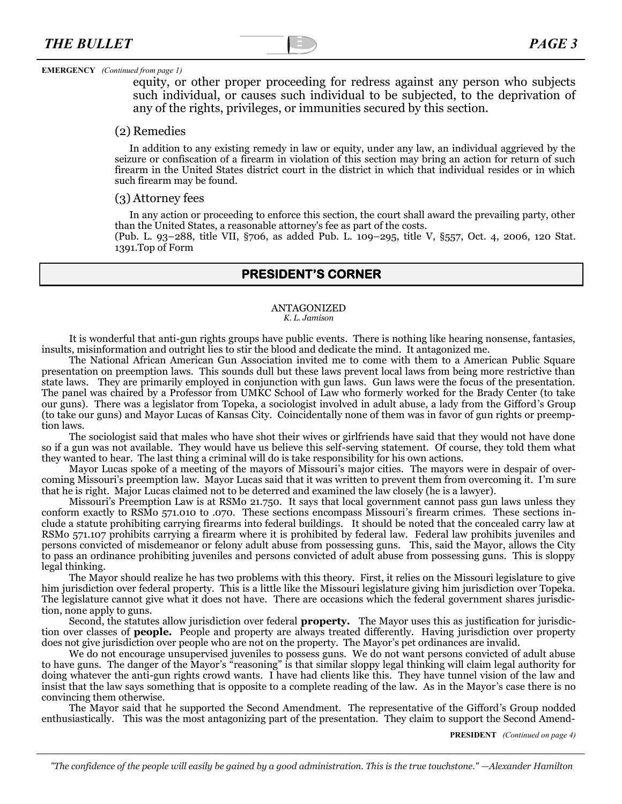#### **EMERGENCY** *(Continued from page 1)*

equity, or other proper proceeding for redress against any person who subjects such individual, or causes such individual to be subjected, to the deprivation of any of the rights, privileges, or immunities secured by this section.

#### (2) Remedies

In addition to any existing remedy in law or equity, under any law, an individual aggrieved by the seizure or confiscation of a firearm in violation of this section may bring an action for return of such firearm in the United States district court in the district in which that individual resides or in which such firearm may be found.

#### (3) Attorney fees

In any action or proceeding to enforce this section, the court shall award the prevailing party, other than the United States, a reasonable attorney's fee as part of the costs.

(Pub. L. 93–288, title VII, §706, as added Pub. L. 109–295, title V, §557, Oct. 4, 2006, 120 Stat. 1391.Top of Form

### **PRESIDENT'S CORNER**

#### ANTAGONIZED *K. L. Jamison*

It is wonderful that anti-gun rights groups have public events. There is nothing like hearing nonsense, fantasies, insults, misinformation and outright lies to stir the blood and dedicate the mind. It antagonized me.

The National African American Gun Association invited me to come with them to a American Public Square presentation on preemption laws. This sounds dull but these laws prevent local laws from being more restrictive than state laws. They are primarily employed in conjunction with gun laws. Gun laws were the focus of the presentation. The panel was chaired by a Professor from UMKC School of Law who formerly worked for the Brady Center (to take our guns). There was a legislator from Topeka, a sociologist involved in adult abuse, a lady from the Gifford's Group (to take our guns) and Mayor Lucas of Kansas City. Coincidentally none of them was in favor of gun rights or preemption laws.

The sociologist said that males who have shot their wives or girlfriends have said that they would not have done so if a gun was not available. They would have us believe this self-serving statement. Of course, they told them what they wanted to hear. The last thing a criminal will do is take responsibility for his own actions.

Mayor Lucas spoke of a meeting of the mayors of Missouri's major cities. The mayors were in despair of overcoming Missouri's preemption law. Mayor Lucas said that it was written to prevent them from overcoming it. I'm sure that he is right. Major Lucas claimed not to be deterred and examined the law closely (he is a lawyer).

Missouri's Preemption Law is at RSMo 21.750. It says that local government cannot pass gun laws unless they conform exactly to RSMo 571.010 to .070. These sections encompass Missouri's firearm crimes. These sections include a statute prohibiting carrying firearms into federal buildings. It should be noted that the concealed carry law at RSMo 571.107 prohibits carrying a firearm where it is prohibited by federal law. Federal law prohibits juveniles and persons convicted of misdemeanor or felony adult abuse from possessing guns. This, said the Mayor, allows the City to pass an ordinance prohibiting juveniles and persons convicted of adult abuse from possessing guns. This is sloppy legal thinking.

The Mayor should realize he has two problems with this theory. First, it relies on the Missouri legislature to give him jurisdiction over federal property. This is a little like the Missouri legislature giving him jurisdiction over Topeka. The legislature cannot give what it does not have. There are occasions which the federal government shares jurisdiction, none apply to guns.

Second, the statutes allow jurisdiction over federal **property.** The Mayor uses this as justification for jurisdiction over classes of **people.** People and property are always treated differently. Having jurisdiction over property does not give jurisdiction over people who are not on the property. The Mayor's pet ordinances are invalid.

We do not encourage unsupervised juveniles to possess guns. We do not want persons convicted of adult abuse to have guns. The danger of the Mayor's "reasoning" is that similar sloppy legal thinking will claim legal authority for doing whatever the anti-gun rights crowd wants. I have had clients like this. They have tunnel vision of the law and insist that the law says something that is opposite to a complete reading of the law. As in the Mayor's case there is no convincing them otherwise.

The Mayor said that he supported the Second Amendment. The representative of the Gifford's Group nodded enthusiastically. This was the most antagonizing part of the presentation. They claim to support the Second Amend-

**PRESIDENT** *(Continued on page 4)*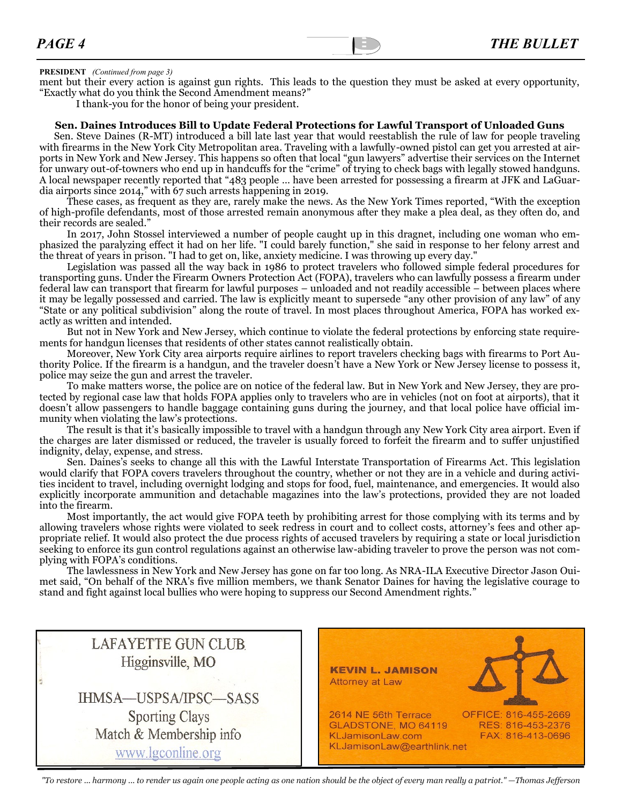#### **PRESIDENT** *(Continued from page 3)*

ment but their every action is against gun rights. This leads to the question they must be asked at every opportunity, "Exactly what do you think the Second Amendment means?"

I thank-you for the honor of being your president.

#### **Sen. Daines Introduces Bill to Update Federal Protections for Lawful Transport of Unloaded Guns**

Sen. Steve Daines (R-MT) [introduced a bill late last year](https://www.daines.senate.gov/news/press-releases/daines-introduces-bill-to-protect-2nd-amendment-law-abiding-gun-owners) that would reestablish the rule of law for people traveling with firearms in the New York City Metropolitan area. Traveling with a lawfully-owned pistol can get you arrested at airports in New York and New Jersey. This happens so often that local "gun lawyers" advertise their services on the Internet for unwary out-of-towners who end up in handcuffs for the "crime" of trying to check bags with legally stowed handguns. A [local newspaper recently reported](https://queenseagle.com/all/2020/1/10/hundreds-of-gun-toting-tourists-have-been-arrested-at-nyc-airports) that "483 people … have been arrested for possessing a firearm at JFK and LaGuardia airports since 2014," with 67 such arrests happening in 2019.

These cases, as frequent as they are, rarely make the news. As [the New York Times reported](https://www.nytimes.com/2013/06/10/nyregion/lawful-handguns-departing-for-new-york-but-unlawful-upon-arrival.html), "With the exception of high-profile defendants, most of those arrested remain anonymous after they make a plea deal, as they often do, and their records are sealed."

In 2017, [John Stossel interviewed](https://freebeacon.com/issues/john-stossel-interviews-gun-owners-arrested-traveling-new-york/) a number of people caught up in this dragnet, including one woman who emphasized the paralyzing effect it had on her life. "I could barely function," she said in response to her felony arrest and the threat of years in prison. "I had to get on, like, anxiety medicine. I was throwing up every day."

Legislation was passed all the way back in 1986 to protect travelers who followed simple federal procedures for transporting guns. Under the [Firearm Owners Protection Act \(FOPA\),](https://www.law.cornell.edu/uscode/text/18/926A) travelers who can lawfully possess a firearm under federal law can transport that firearm for lawful purposes – unloaded and not readily accessible – between places where it may be legally possessed and carried. The law is explicitly meant to supersede "any other provision of any law" of any "State or any political subdivision" along the route of travel. In most places throughout America, FOPA has worked exactly as written and intended.

But not in New York and New Jersey, which continue to violate the federal protections by enforcing state requirements for handgun licenses that residents of other states cannot realistically obtain.

Moreover, New York City area airports require airlines to report travelers checking bags with firearms to Port Authority Police. If the firearm is a handgun, and the traveler doesn't have a New York or New Jersey license to possess it, police may seize the gun and arrest the traveler.

To make matters worse, the police are on notice of the federal law. But in New York and New Jersey, they are protected by regional case law that holds FOPA applies only to travelers who are in vehicles (not on foot at airports), that it doesn't allow passengers to handle baggage containing guns during the journey, and that local police have official immunity when violating the law's protections.

The result is that it's basically impossible to travel with a handgun through any New York City area airport. Even if the charges are later dismissed or reduced, the traveler is usually forced to forfeit the firearm and to suffer unjustified indignity, delay, expense, and stress.

Sen. Daines's seeks to change all this with the [Lawful Interstate Transportation of Firearms Act.](https://www.daines.senate.gov/imo/media/doc/SIL19D13.pdf) This legislation would clarify that FOPA covers travelers throughout the country, whether or not they are in a vehicle and during activities incident to travel, including overnight lodging and stops for food, fuel, maintenance, and emergencies. It would also explicitly incorporate ammunition and detachable magazines into the law's protections, provided they are not loaded into the firearm.

Most importantly, the act would give FOPA teeth by prohibiting arrest for those complying with its terms and by allowing travelers whose rights were violated to seek redress in court and to collect costs, attorney's fees and other appropriate relief. It would also protect the due process rights of accused travelers by requiring a state or local jurisdiction seeking to enforce its gun control regulations against an otherwise law-abiding traveler to prove the person was not complying with FOPA's conditions.

The lawlessness in New York and New Jersey has gone on far too long. As NRA-ILA Executive Director Jason Ouimet said, "On behalf of the NRA's five million members, we thank Senator Daines for having the legislative courage to stand and fight against local bullies who were hoping to suppress our Second Amendment rights."

| <b>LAFAYETTE GUN CLUB</b><br>Higginsville, MO<br>IHMSA-USPSA/IPSC-SASS | <b>KEVIN L. JAMISON</b><br>Attorney at Law                                                                                                                      |
|------------------------------------------------------------------------|-----------------------------------------------------------------------------------------------------------------------------------------------------------------|
| <b>Sporting Clays</b><br>Match & Membership info<br>www.lgconline.org  | 2614 NE 56th Terrace<br>OFFICE: 816-455-2669<br>GLADSTONE, MO 64119<br>RES: 816-453-2376<br>KLJamisonLaw.com<br>FAX: 816-413-0696<br>KLJamisonLaw@earthlink.net |

*"To restore ... harmony ... to render us again one people acting as one nation should be the object of every man really a patriot." —Thomas Jefferson*

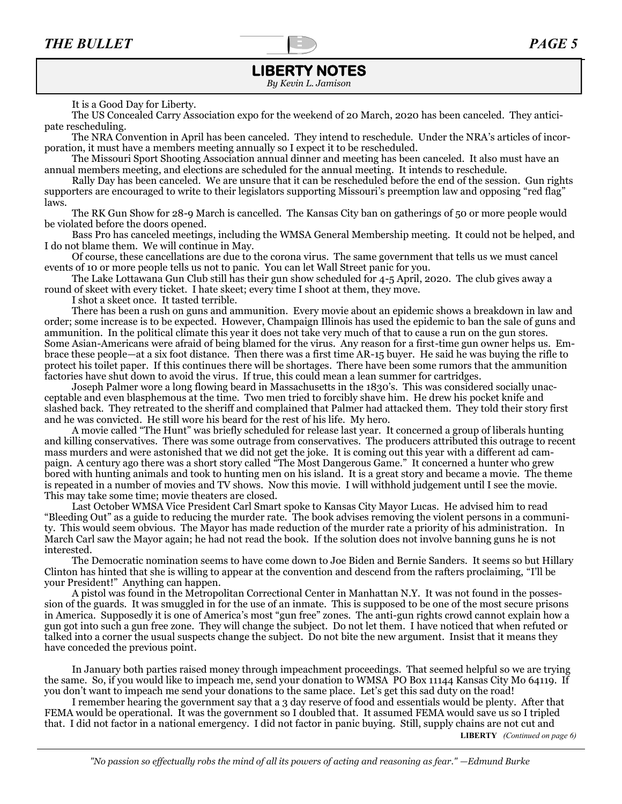### **LIBERTY NOTES**

*By Kevin L. Jamison*

It is a Good Day for Liberty.

The US Concealed Carry Association expo for the weekend of 20 March, 2020 has been canceled. They anticipate rescheduling.

The NRA Convention in April has been canceled. They intend to reschedule. Under the NRA's articles of incorporation, it must have a members meeting annually so I expect it to be rescheduled.

The Missouri Sport Shooting Association annual dinner and meeting has been canceled. It also must have an annual members meeting, and elections are scheduled for the annual meeting. It intends to reschedule.

Rally Day has been canceled. We are unsure that it can be rescheduled before the end of the session. Gun rights supporters are encouraged to write to their legislators supporting Missouri's preemption law and opposing "red flag" laws.

The RK Gun Show for 28-9 March is cancelled. The Kansas City ban on gatherings of 50 or more people would be violated before the doors opened.

Bass Pro has canceled meetings, including the WMSA General Membership meeting. It could not be helped, and I do not blame them. We will continue in May.

Of course, these cancellations are due to the corona virus. The same government that tells us we must cancel events of 10 or more people tells us not to panic. You can let Wall Street panic for you.

The Lake Lottawana Gun Club still has their gun show scheduled for 4-5 April, 2020. The club gives away a round of skeet with every ticket. I hate skeet; every time I shoot at them, they move.

I shot a skeet once. It tasted terrible.

There has been a rush on guns and ammunition. Every movie about an epidemic shows a breakdown in law and order; some increase is to be expected. However, Champaign Illinois has used the epidemic to ban the sale of guns and ammunition. In the political climate this year it does not take very much of that to cause a run on the gun stores. Some Asian-Americans were afraid of being blamed for the virus. Any reason for a first-time gun owner helps us. Embrace these people—at a six foot distance. Then there was a first time AR-15 buyer. He said he was buying the rifle to protect his toilet paper. If this continues there will be shortages. There have been some rumors that the ammunition factories have shut down to avoid the virus. If true, this could mean a lean summer for cartridges.

Joseph Palmer wore a long flowing beard in Massachusetts in the 1830's. This was considered socially unacceptable and even blasphemous at the time. Two men tried to forcibly shave him. He drew his pocket knife and slashed back. They retreated to the sheriff and complained that Palmer had attacked them. They told their story first and he was convicted. He still wore his beard for the rest of his life. My hero.

A movie called "The Hunt" was briefly scheduled for release last year. It concerned a group of liberals hunting and killing conservatives. There was some outrage from conservatives. The producers attributed this outrage to recent mass murders and were astonished that we did not get the joke. It is coming out this year with a different ad campaign. A century ago there was a short story called "The Most Dangerous Game." It concerned a hunter who grew bored with hunting animals and took to hunting men on his island. It is a great story and became a movie. The theme is repeated in a number of movies and TV shows. Now this movie. I will withhold judgement until I see the movie. This may take some time; movie theaters are closed.

Last October WMSA Vice President Carl Smart spoke to Kansas City Mayor Lucas. He advised him to read "Bleeding Out" as a guide to reducing the murder rate. The book advises removing the violent persons in a community. This would seem obvious. The Mayor has made reduction of the murder rate a priority of his administration. In March Carl saw the Mayor again; he had not read the book. If the solution does not involve banning guns he is not interested.

The Democratic nomination seems to have come down to Joe Biden and Bernie Sanders. It seems so but Hillary Clinton has hinted that she is willing to appear at the convention and descend from the rafters proclaiming, "I'll be your President!" Anything can happen.

A pistol was found in the Metropolitan Correctional Center in Manhattan N.Y. It was not found in the possession of the guards. It was smuggled in for the use of an inmate. This is supposed to be one of the most secure prisons in America. Supposedly it is one of America's most "gun free" zones. The anti-gun rights crowd cannot explain how a gun got into such a gun free zone. They will change the subject. Do not let them. I have noticed that when refuted or talked into a corner the usual suspects change the subject. Do not bite the new argument. Insist that it means they have conceded the previous point.

In January both parties raised money through impeachment proceedings. That seemed helpful so we are trying the same. So, if you would like to impeach me, send your donation to WMSA PO Box 11144 Kansas City Mo 64119. If you don't want to impeach me send your donations to the same place. Let's get this sad duty on the road!

I remember hearing the government say that a 3 day reserve of food and essentials would be plenty. After that FEMA would be operational. It was the government so I doubled that. It assumed FEMA would save us so I tripled that. I did not factor in a national emergency. I did not factor in panic buying. Still, supply chains are not cut and

**LIBERTY** *(Continued on page 6)*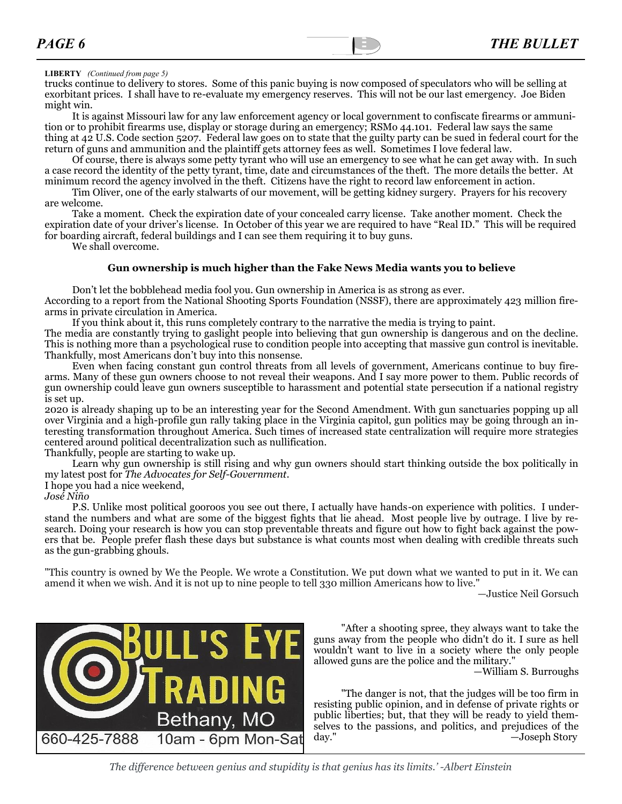#### **LIBERTY** *(Continued from page 5)*

trucks continue to delivery to stores. Some of this panic buying is now composed of speculators who will be selling at exorbitant prices. I shall have to re-evaluate my emergency reserves. This will not be our last emergency. Joe Biden might win.

It is against Missouri law for any law enforcement agency or local government to confiscate firearms or ammunition or to prohibit firearms use, display or storage during an emergency; RSMo 44.101. Federal law says the same thing at 42 U.S. Code section 5207. Federal law goes on to state that the guilty party can be sued in federal court for the return of guns and ammunition and the plaintiff gets attorney fees as well. Sometimes I love federal law.

Of course, there is always some petty tyrant who will use an emergency to see what he can get away with. In such a case record the identity of the petty tyrant, time, date and circumstances of the theft. The more details the better. At minimum record the agency involved in the theft. Citizens have the right to record law enforcement in action.

Tim Oliver, one of the early stalwarts of our movement, will be getting kidney surgery. Prayers for his recovery are welcome.

Take a moment. Check the expiration date of your concealed carry license. Take another moment. Check the expiration date of your driver's license. In October of this year we are required to have "Real ID." This will be required for boarding aircraft, federal buildings and I can see them requiring it to buy guns.

We shall overcome.

#### **Gun ownership is much higher than the Fake News Media wants you to believe**

Don't let the bobblehead media fool you. Gun ownership in America is as strong as ever.

According to a report from the National Shooting Sports Foundation (NSSF), there are approximately 423 million firearms in private circulation in America.

If you think about it, this runs completely contrary to the narrative the media is trying to paint.

The media are constantly trying to gaslight people into believing that gun ownership is dangerous and on the decline. This is nothing more than a psychological ruse to condition people into accepting that massive gun control is inevitable. Thankfully, most Americans don't buy into this nonsense.

Even when facing constant gun control threats from all levels of government, Americans continue to buy firearms. Many of these gun owners choose to not reveal their weapons. And I say more power to them. Public records of gun ownership could leave gun owners susceptible to harassment and potential state persecution if a national registry is set up.

2020 is already shaping up to be an interesting year for the Second Amendment. With gun sanctuaries popping up all over Virginia and a high-profile gun rally taking place in the Virginia capitol, gun politics may be going through an interesting transformation throughout America. Such times of increased state centralization will require more strategies centered around political decentralization such as nullification.

Thankfully, people are starting to wake up.

Learn why gun ownership is still rising and why gun owners should start thinking outside the box politically in my [latest post](https://el2.convertkit-mail.com/c/n4um0xe43ghvh6xm3rc6/kkhmh6h2r6z857/aHR0cHM6Ly93d3cudGhlYWR2b2NhdGVzLm9yZy8yMDIwLzAxL3ByaXZhdGUtZ3VuLW93bmVyc2hpcC1pbi1hbWVyaWNhLWlzLWhpZ2hlci10aGFuLXdlLXRoaW5rLw==) for *The Advocates for Self-Government*.

I hope you had a nice weekend,

#### *José Niño*

P.S. Unlike most political gooroos you see out there, I actually have hands-on experience with politics. I understand the numbers and what are some of the biggest fights that lie ahead. Most people live by outrage. I live by research. Doing your research is how you can stop preventable threats and figure out how to fight back against the powers that be. People prefer flash these days but substance is what counts most when dealing with credible threats such as the gun-grabbing ghouls.

"This country is owned by We the People. We wrote a Constitution. We put down what we wanted to put in it. We can amend it when we wish. And it is not up to nine people to tell 330 million Americans how to live."

—Justice Neil Gorsuch



"After a shooting spree, they always want to take the guns away from the people who didn't do it. I sure as hell wouldn't want to live in a society where the only people allowed guns are the police and the military."

—William S. Burroughs

"The danger is not, that the judges will be too firm in resisting public opinion, and in defense of private rights or public liberties; but, that they will be ready to yield themselves to the passions, and politics, and prejudices of the day." —Joseph Story

*The difference between genius and stupidity is that genius has its limits.' -Albert Einstein*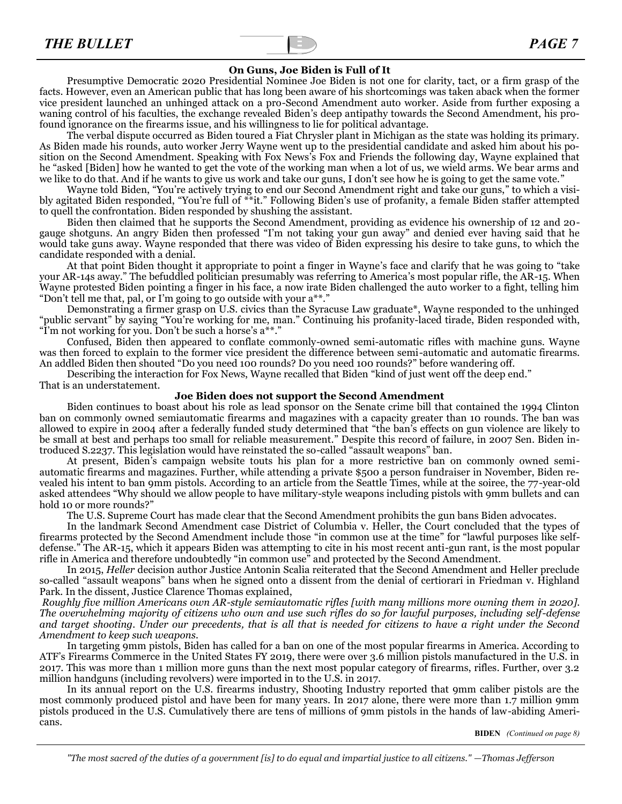#### **On Guns, Joe Biden is Full of It**

Presumptive Democratic 2020 Presidential Nominee Joe Biden is not one for clarity, tact, or a firm grasp of the facts. However, even an American public that has long been aware of his shortcomings was taken aback when the former vice president launched an unhinged attack on a pro-Second Amendment auto worker. Aside from further exposing a waning control of his faculties, the exchange revealed Biden's deep antipathy towards the Second Amendment, his profound ignorance on the firearms issue, and his willingness to lie for political advantage.

The verbal dispute occurred as Biden toured a Fiat Chrysler plant in Michigan as the state was holding its primary. As Biden made his rounds, auto worker Jerry Wayne went up to the presidential candidate and asked him about his position on the Second Amendment. Speaking with Fox News's Fox and Friends the following day, Wayne explained that he "asked [Biden] how he wanted to get the vote of the working man when a lot of us, we wield arms. We bear arms and we like to do that. And if he wants to give us work and take our guns, I don't see how he is going to get the same vote."

Wayne told Biden, "You're actively trying to end our Second Amendment right and take our guns," to which a visibly agitated Biden responded, "You're full of \*\*it." Following Biden's use of profanity, a female Biden staffer attempted to quell the confrontation. Biden responded by shushing the assistant.

Biden then claimed that he supports the Second Amendment, providing as evidence his ownership of 12 and 20 gauge shotguns. An angry Biden then professed "I'm not taking your gun away" and denied ever having said that he would take guns away. Wayne responded that there was video of Biden expressing his desire to take guns, to which the candidate responded with a denial.

At that point Biden thought it appropriate to point a finger in Wayne's face and clarify that he was going to "take your AR-14s away." The befuddled politician presumably was referring to America's most popular rifle, the AR-15. When Wayne protested Biden pointing a finger in his face, a now irate Biden challenged the auto worker to a fight, telling him "Don't tell me that, pal, or I'm going to go outside with your a\*\*."

Demonstrating a firmer grasp on U.S. civics than the Syracuse Law graduate\*, Wayne responded to the unhinged "public servant" by saying "You're working for me, man." Continuing his profanity-laced tirade, Biden responded with, "I'm not working for you. Don't be such a horse's a\*\*."

Confused, Biden then appeared to conflate commonly-owned semi-automatic rifles with machine guns. Wayne was then forced to explain to the former vice president the difference between semi-automatic and automatic firearms. An addled Biden then shouted "Do you need 100 rounds? Do you need 100 rounds?" before wandering off.

Describing the interaction for Fox News, Wayne recalled that Biden "kind of just went off the deep end." That is an understatement.

#### **Joe Biden does not support the Second Amendment**

Biden continues to boast about his role as lead sponsor on the Senate crime bill that contained the 1994 Clinton ban on commonly owned semiautomatic firearms and magazines with a capacity greater than 10 rounds. The ban was allowed to expire in 2004 after a federally funded study determined that "the ban's effects on gun violence are likely to be small at best and perhaps too small for reliable measurement." Despite this record of failure, in 2007 Sen. Biden introduced S.2237. This legislation would have reinstated the so-called "assault weapons" ban.

At present, Biden's campaign website touts his plan for a more restrictive ban on commonly owned semiautomatic firearms and magazines. Further, while attending a private \$500 a person fundraiser in November, Biden revealed his intent to ban 9mm pistols. According to an article from the Seattle Times, while at the soiree, the 77-year-old asked attendees "Why should we allow people to have military-style weapons including pistols with 9mm bullets and can hold 10 or more rounds?"

The U.S. Supreme Court has made clear that the Second Amendment prohibits the gun bans Biden advocates.

In the landmark Second Amendment case District of Columbia v. Heller, the Court concluded that the types of firearms protected by the Second Amendment include those "in common use at the time" for "lawful purposes like selfdefense." The AR-15, which it appears Biden was attempting to cite in his most recent anti-gun rant, is the most popular rifle in America and therefore undoubtedly "in common use" and protected by the Second Amendment.

In 2015, *Heller* decision author Justice Antonin Scalia reiterated that the Second Amendment and Heller preclude so-called "assault weapons" bans when he signed onto a dissent from the denial of certiorari in Friedman v. Highland Park. In the dissent, Justice Clarence Thomas explained,

*Roughly five million Americans own AR-style semiautomatic rifles [with many millions more owning them in 2020]. The overwhelming majority of citizens who own and use such rifles do so for lawful purposes, including self-defense and target shooting. Under our precedents, that is all that is needed for citizens to have a right under the Second Amendment to keep such weapons.*

In targeting 9mm pistols, Biden has called for a ban on one of the most popular firearms in America. According to ATF's Firearms Commerce in the United States FY 2019, there were over 3.6 million pistols manufactured in the U.S. in 2017. This was more than 1 million more guns than the next most popular category of firearms, rifles. Further, over 3.2 million handguns (including revolvers) were imported in to the U.S. in 2017.

In its annual report on the U.S. firearms industry, Shooting Industry reported that 9mm caliber pistols are the most commonly produced pistol and have been for many years. In 2017 alone, there were more than 1.7 million 9mm pistols produced in the U.S. Cumulatively there are tens of millions of 9mm pistols in the hands of law-abiding Americans.

**BIDEN** *(Continued on page 8)*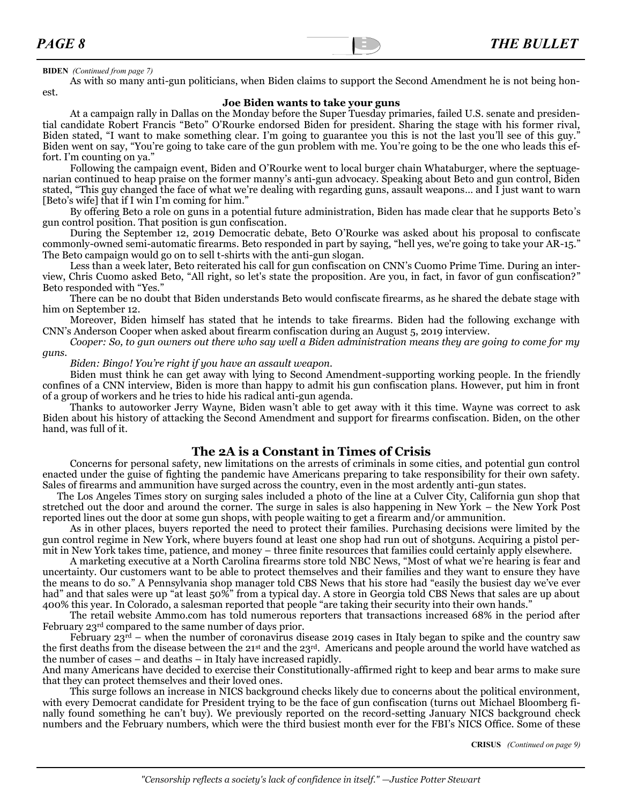#### **BIDEN** *(Continued from page 7)*

As with so many anti-gun politicians, when Biden claims to support the Second Amendment he is not being honest.

#### **Joe Biden wants to take your guns**

At a campaign rally in Dallas on the Monday before the Super Tuesday primaries, failed U.S. senate and presidential candidate Robert Francis "Beto" O'Rourke endorsed Biden for president. Sharing the stage with his former rival, Biden stated, "I want to make something clear. I'm going to guarantee you this is not the last you'll see of this guy." Biden went on say, "You're going to take care of the gun problem with me. You're going to be the one who leads this effort. I'm counting on ya."

Following the campaign event, Biden and O'Rourke went to local burger chain Whataburger, where the septuagenarian continued to heap praise on the former manny's anti-gun advocacy. Speaking about Beto and gun control, Biden stated, "This guy changed the face of what we're dealing with regarding guns, assault weapons… and I just want to warn [Beto's wife] that if I win I'm coming for him."

By offering Beto a role on guns in a potential future administration, Biden has made clear that he supports Beto's gun control position. That position is gun confiscation.

During the September 12, 2019 Democratic debate, Beto O'Rourke was asked about his proposal to confiscate commonly-owned semi-automatic firearms. Beto responded in part by saying, "hell yes, we're going to take your AR-15." The Beto campaign would go on to sell t-shirts with the anti-gun slogan.

Less than a week later, Beto reiterated his call for gun confiscation on CNN's Cuomo Prime Time. During an interview, Chris Cuomo asked Beto, "All right, so let's state the proposition. Are you, in fact, in favor of gun confiscation?" Beto responded with "Yes."

There can be no doubt that Biden understands Beto would confiscate firearms, as he shared the debate stage with him on September 12.

Moreover, Biden himself has stated that he intends to take firearms. Biden had the following exchange with CNN's Anderson Cooper when asked about firearm confiscation during an August 5, 2019 interview.

*Cooper: So, to gun owners out there who say well a Biden administration means they are going to come for my guns.*

*Biden: Bingo! You're right if you have an assault weapon.*

Biden must think he can get away with lying to Second Amendment-supporting working people. In the friendly confines of a CNN interview, Biden is more than happy to admit his gun confiscation plans. However, put him in front of a group of workers and he tries to hide his radical anti-gun agenda.

Thanks to autoworker Jerry Wayne, Biden wasn't able to get away with it this time. Wayne was correct to ask Biden about his history of attacking the Second Amendment and support for firearms confiscation. Biden, on the other hand, was full of it.

#### **The 2A is a Constant in Times of Crisis**

Concerns for personal safety, new limitations on the arrests of criminals in some cities, and potential gun control enacted under the guise of fighting the pandemic have Americans preparing to take responsibility for their own safety. Sales of firearms and ammunition have surged across the country, even in the most ardently anti-gun states.

[The Los Angeles Times story on surging sales](https://www.latimes.com/world-nation/story/2020-03-15/coronavirus-pandemic-gun-sales-surge-us-california) included a photo of the line at a Culver City, California gun shop that stretched out the door and around the corner. The surge in sales is also happening in New York – the [New York Post](https://nypost.com/2020/03/17/new-yorkers-flock-to-gun-stores-amid-coronavirus-outbreak/) reported lines out the door at some gun shops, with people waiting to get a firearm and/or ammunition.

As in other places, buyers reported the need to protect their families. Purchasing decisions were limited by the gun control regime in New York, where buyers found at least one shop had run out of shotguns. Acquiring a pistol permit in New York takes time, patience, and money – three finite resources that families could certainly apply elsewhere.

A marketing executive at a North Carolina firearms store told [NBC News](https://www.nbcnews.com/business/consumer/gun-sales-rise-coronavirus-fears-trigger-personal-safety-concerns-n1161926), "Most of what we're hearing is fear and uncertainty. Our customers want to be able to protect themselves and their families and they want to ensure they have the means to do so." A [Pennsylvania shop manager told CBS News](https://www.cbsnews.com/news/guns-ammunition-sales-coronavirus-concerns/) that his store had "easily the busiest day we've ever had" and that sales were up "at least 50%" from a typical day. A store in Georgia told CBS News that sales are up about 400% this year. [In Colorado,](https://www.denverpost.com/2020/03/17/guns-ammunition-sales-spike-colorado-coronavirus/) a salesman reported that people "are taking their security into their own hands."

The retail website Ammo.com has told numerous reporters that transactions increased 68% in the period after February 23rd compared to the same number of days prior.

February  $23^{\text{rd}}$  – when the number of coronavirus disease 2019 cases in Italy began to spike and the country saw the first deaths from the disease between the 21st and the 23rd. Americans and people around the world have watched as the number of cases – and deaths – in Italy have increased rapidly.

And many Americans have decided to exercise their Constitutionally-affirmed right to keep and bear arms to make sure that they can protect themselves and their loved ones.

This surge follows an increase in NICS background checks likely due to concerns about the political environment, with every Democrat candidate for President trying to be the face of gun confiscation (turns out [Michael Bloomberg fi](https://www.nraila.org/articles/20200309/bloomberg-quits-after-coming-up-short-on-super-tuesday)[nally found something he can](https://www.nraila.org/articles/20200309/bloomberg-quits-after-coming-up-short-on-super-tuesday)'t buy). We previously reported on the record-[setting January NICS](https://www.nraila.org/articles/20200210/2020-starts-with-another-nics-record) background check numbers and the February numbers, which were the [third busiest month ever](https://www.nraila.org/articles/20200309/amid-the-anti-gun-hysteria-of-the-democrat-primary-nics-sets-another-record) for the FBI's NICS Office. Some of these

**CRISUS** *(Continued on page 9)*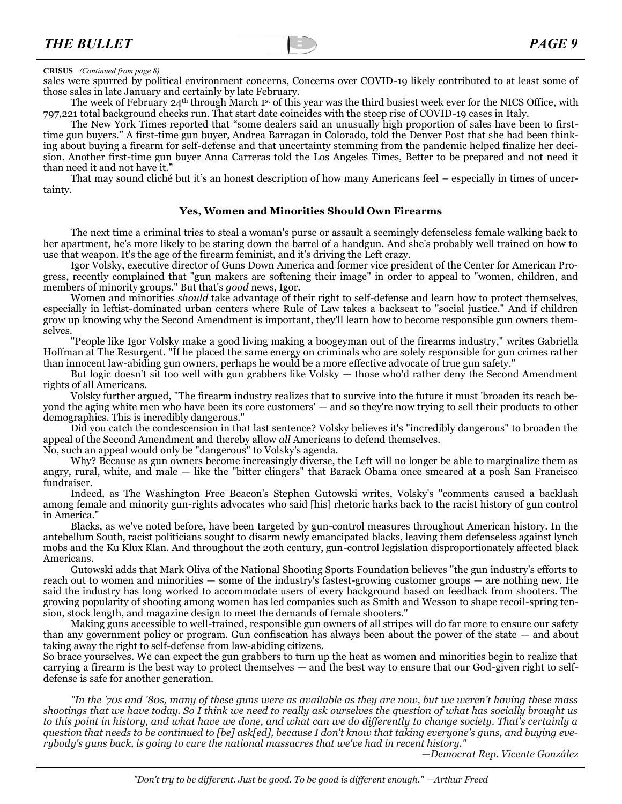### **CRISUS** *(Continued from page 8)*

sales were spurred by political environment concerns, Concerns over COVID-19 likely contributed to at least some of those sales in late January and certainly by late February.

The week of February 24th through March 1st of this year was the [third busiest week ever for the NICS Office,](https://www.fbi.gov/file-repository/nics_firearm_checks_top_10_highest_days_weeks.pdf/view) with 797,221 total background checks run. That start date coincides with the steep rise of COVID-19 cases in Italy.

The New York Times reported that "some dealers said an unusually high proportion of sales have been to firsttime gun buyers." A first-[time gun buyer, Andrea Barragan in Colorado, told the Denver Post](https://www.denverpost.com/2020/03/17/guns-ammunition-sales-spike-colorado-coronavirus/) that she had been thinking about buying a firearm for self-defense and that uncertainty stemming from the pandemic helped finalize her decision. Another first-time gun buyer Anna Carreras told the [Los Angeles Times,](https://www.latimes.com/world-nation/story/2020-03-15/coronavirus-pandemic-gun-sales-surge-us-california) Better to be prepared and not need it than need it and not have it."

That may sound cliché but it's an honest description of how many Americans feel – especially in times of uncertainty.

#### **[Yes, Women and Minorities Should Own Firearms](https://patriotpost.us/articles/68892-yes-women-and-minorities-should-own-firearms-2020-02-28?mailing_id=4895&utm_medium=email&utm_source=pp.email.4895&utm_campaign=digest&utm_content=body)**

The next time a criminal tries to steal a woman's purse or assault a seemingly defenseless female walking back to her apartment, he's more likely to be staring down the barrel of a handgun. And she's probably well trained on how to use that weapon. It's the age of the firearm feminist, and it's driving the Left crazy.

Igor Volsky, executive director of Guns Down America and former vice president of the Center for American Progress, recently [complained](https://twitter.com/igorvolsky/status/1231960877248733191) that "gun makers are softening their image" in order to appeal to "women, children, and members of minority groups." But that's *good* news, Igor.

Women and minorities *should* take advantage of their right to self-defense and learn how to protect themselves, especially in leftist-dominated urban centers where Rule of Law takes a backseat to "social justice." And if children grow up knowing why the Second Amendment is important, they'll learn how to become responsible gun owners themselves.

"People like Igor Volsky make a good living making a boogeyman out of the firearms industry," [writes](https://theresurgent.com/2020/02/25/women-minorities-nssf-marketing-guns-volsky/) Gabriella Hoffman at The Resurgent. "If he placed the same energy on criminals who are solely responsible for gun crimes rather than innocent law-abiding gun owners, perhaps he would be a more effective advocate of true gun safety."

But logic doesn't sit too well with gun grabbers like Volsky — those who'd rather deny the Second Amendment rights of all Americans.

Volsky further argued, "The firearm industry realizes that to survive into the future it must 'broaden its reach beyond the aging white men who have been its core customers' — and so they're now trying to sell their products to other demographics. This is incredibly dangerous."

Did you catch the condescension in that last sentence? Volsky believes it's "incredibly dangerous" to broaden the appeal of the Second Amendment and thereby allow *all* Americans to defend themselves.

No, such an appeal would only be "dangerous" to Volsky's agenda.

Why? Because as gun owners become increasingly diverse, the Left will no longer be able to marginalize them as angry, rural, white, and male — like the ["bitter clingers"](https://youtu.be/VZWaxjiQyFk) that Barack Obama once smeared at a posh San Francisco fundraiser.

Indeed, as The Washington Free Beacon's Stephen Gutowski [writes,](https://freebeacon.com/issues/gun-control-exec-says-attempts-to-sell-guns-to-minorities-women-incredibly-dangerous/) Volsky's "comments caused a backlash among female and minority gun-rights advocates who said [his] rhetoric harks back to the racist history of gun control in America."

Blacks, as we've noted before, have been [targeted](https://patriotpost.us/articles/68126-the-racist-history-of-gun-control-2020-01-24?mailing_id=4895&utm_medium=email&utm_source=pp.email.4895&utm_campaign=digest&utm_content=body) by gun-control measures throughout American history. In the antebellum South, racist politicians sought to [disarm](https://reason.com/2005/02/15/the-klans-favorite-law/) newly emancipated blacks, leaving them defenseless against lynch mobs and the Ku Klux Klan. And throughout the 20th century, gun-control legislation disproportionately affected black Americans.

Gutowski adds that Mark Oliva of the National Shooting Sports Foundation believes "the gun industry's efforts to reach out to women and minorities — some of the industry's fastest-growing customer groups — are nothing new. He said the industry has long worked to accommodate users of every background based on feedback from shooters. The growing popularity of shooting among women has led companies such as Smith and Wesson to shape recoil-spring tension, stock length, and magazine design to meet the demands of female shooters."

Making guns accessible to well-trained, responsible gun owners of all stripes will do far more to ensure our safety than any government policy or program. Gun confiscation has always been about the power of the state — and about taking away the right to self-defense from law-abiding citizens.

So brace yourselves. We can expect the gun grabbers to turn up the heat as women and minorities begin to realize that carrying a firearm is the best way to protect themselves — and the best way to ensure that our God-given right to selfdefense is safe for another generation.

*"In the '70s and '80s, many of these guns were as available as they are now, but we weren't having these mass shootings that we have today. So I think we need to really ask ourselves the question of what has socially brought us to this point in history, and what have we done, and what can we do differently to change society. That's certainly a question that needs to be continued to [be] ask[ed], because I don't know that taking everyone's guns, and buying everybody's guns back, is going to cure the national massacres that we've had in recent history."*

*—Democrat Rep. Vicente González*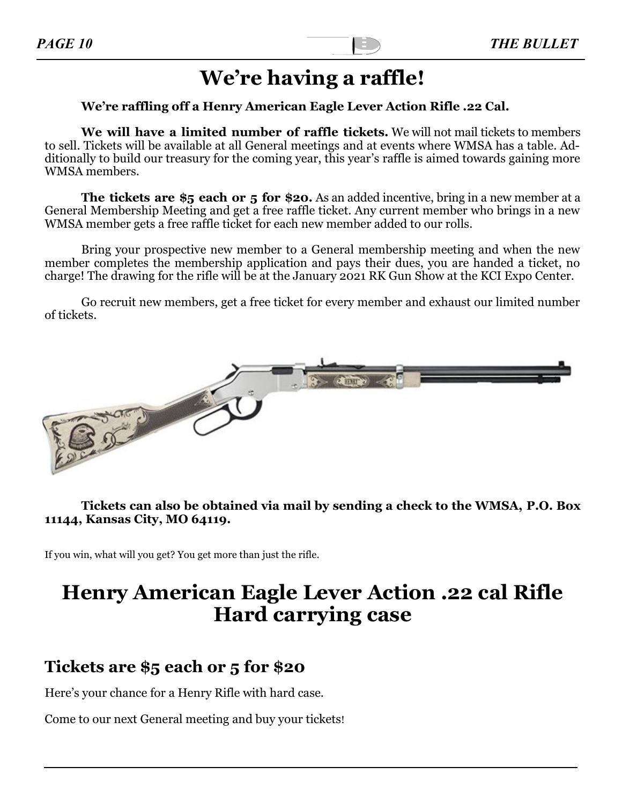# **We're having a raffle!**

### **We're raffling off a Henry American Eagle Lever Action Rifle .22 Cal.**

**We will have a limited number of raffle tickets.** We will not mail tickets to members to sell. Tickets will be available at all General meetings and at events where WMSA has a table. Additionally to build our treasury for the coming year, this year's raffle is aimed towards gaining more WMSA members.

**The tickets are \$5 each or 5 for \$20.** As an added incentive, bring in a new member at a General Membership Meeting and get a free raffle ticket. Any current member who brings in a new WMSA member gets a free raffle ticket for each new member added to our rolls.

Bring your prospective new member to a General membership meeting and when the new member completes the membership application and pays their dues, you are handed a ticket, no charge! The drawing for the rifle will be at the January 2021 RK Gun Show at the KCI Expo Center.

Go recruit new members, get a free ticket for every member and exhaust our limited number of tickets.



### **Tickets can also be obtained via mail by sending a check to the WMSA, P.O. Box 11144, Kansas City, MO 64119.**

If you win, what will you get? You get more than just the rifle.

## **Henry American Eagle Lever Action .22 cal Rifle Hard carrying case**

## **Tickets are \$5 each or 5 for \$20**

Here's your chance for a Henry Rifle with hard case.

Come to our next General meeting and buy your tickets!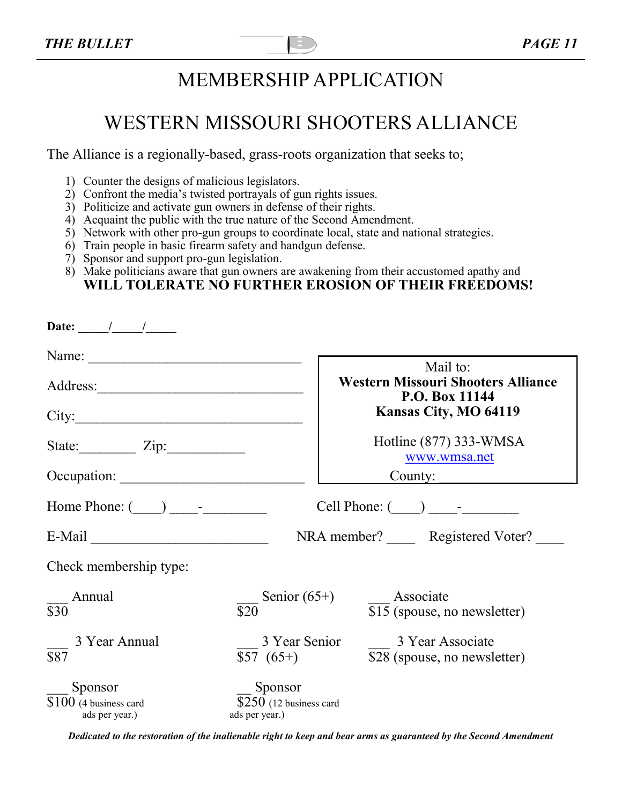# MEMBERSHIP APPLICATION

## WESTERN MISSOURI SHOOTERS ALLIANCE

The Alliance is a regionally-based, grass-roots organization that seeks to;

- 1) Counter the designs of malicious legislators.
- 2) Confront the media's twisted portrayals of gun rights issues.
- 3) Politicize and activate gun owners in defense of their rights.
- 4) Acquaint the public with the true nature of the Second Amendment.
- 5) Network with other pro-gun groups to coordinate local, state and national strategies.
- 6) Train people in basic firearm safety and handgun defense.
- 7) Sponsor and support pro-gun legislation.
- 8) Make politicians aware that gun owners are awakening from their accustomed apathy and **WILL TOLERATE NO FURTHER EROSION OF THEIR FREEDOMS!**

| Date: $\frac{1}{\sqrt{1-\frac{1}{2}}}$               |                                                       |                                                             |  |
|------------------------------------------------------|-------------------------------------------------------|-------------------------------------------------------------|--|
|                                                      |                                                       | Mail to:                                                    |  |
|                                                      |                                                       | <b>Western Missouri Shooters Alliance</b><br>P.O. Box 11144 |  |
| City:                                                |                                                       | <b>Kansas City, MO 64119</b>                                |  |
| State: $\angle Zip:$                                 |                                                       | Hotline (877) 333-WMSA<br>www.wmsa.net                      |  |
| Occupation:                                          | County:                                               |                                                             |  |
| Home Phone: $($ $)$ $-$                              |                                                       |                                                             |  |
|                                                      | NRA member? Registered Voter?                         |                                                             |  |
| Check membership type:                               |                                                       |                                                             |  |
| Annual<br>$\overline{$30}$                           | Senior $(65+)$<br>$\overline{$}20$                    | Associate<br>\$15 (spouse, no newsletter)                   |  |
| 3 Year Annual<br>$\overline{$87}$                    | 3 Year Senior<br>$$57(65+)$                           | 3 Year Associate<br>\$28 (spouse, no newsletter)            |  |
| Sponsor<br>$$100$ (4 business card<br>ads per year.) | Sponsor<br>$$250$ (12 business card<br>ads per year.) |                                                             |  |

*Dedicated to the restoration of the inalienable right to keep and bear arms as guaranteed by the Second Amendment*